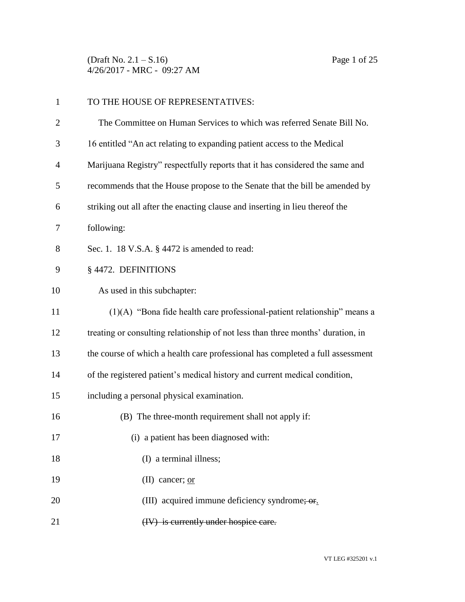(Draft No. 2.1 – S.16) Page 1 of 25 4/26/2017 - MRC - 09:27 AM

| $\mathbf{1}$   | TO THE HOUSE OF REPRESENTATIVES:                                                |
|----------------|---------------------------------------------------------------------------------|
| $\overline{c}$ | The Committee on Human Services to which was referred Senate Bill No.           |
| 3              | 16 entitled "An act relating to expanding patient access to the Medical         |
| 4              | Marijuana Registry" respectfully reports that it has considered the same and    |
| 5              | recommends that the House propose to the Senate that the bill be amended by     |
| 6              | striking out all after the enacting clause and inserting in lieu thereof the    |
| 7              | following:                                                                      |
| 8              | Sec. 1. 18 V.S.A. § 4472 is amended to read:                                    |
| 9              | § 4472. DEFINITIONS                                                             |
| 10             | As used in this subchapter:                                                     |
| 11             | $(1)(A)$ "Bona fide health care professional-patient relationship" means a      |
| 12             | treating or consulting relationship of not less than three months' duration, in |
| 13             | the course of which a health care professional has completed a full assessment  |
| 14             | of the registered patient's medical history and current medical condition,      |
| 15             | including a personal physical examination.                                      |
| 16             | (B) The three-month requirement shall not apply if:                             |
| 17             | (i) a patient has been diagnosed with:                                          |
| 18             | (I) a terminal illness;                                                         |
| 19             | (II) cancer; $or$                                                               |
| 20             | (III) acquired immune deficiency syndrome; or.                                  |
| 21             | (IV) is currently under hospice care.                                           |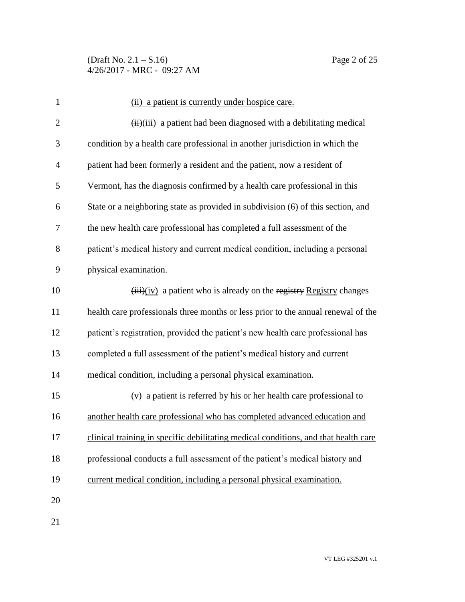(Draft No.  $2.1 - S.16$ ) Page 2 of 25 4/26/2017 - MRC - 09:27 AM

| $\mathbf{1}$   | (ii) a patient is currently under hospice care.                                     |
|----------------|-------------------------------------------------------------------------------------|
| $\overline{2}$ | (iii) a patient had been diagnosed with a debilitating medical                      |
| 3              | condition by a health care professional in another jurisdiction in which the        |
| 4              | patient had been formerly a resident and the patient, now a resident of             |
| 5              | Vermont, has the diagnosis confirmed by a health care professional in this          |
| 6              | State or a neighboring state as provided in subdivision (6) of this section, and    |
| 7              | the new health care professional has completed a full assessment of the             |
| 8              | patient's medical history and current medical condition, including a personal       |
| 9              | physical examination.                                                               |
| 10             | $(iii)(iv)$ a patient who is already on the registry Registry changes               |
| 11             | health care professionals three months or less prior to the annual renewal of the   |
| 12             | patient's registration, provided the patient's new health care professional has     |
| 13             | completed a full assessment of the patient's medical history and current            |
| 14             | medical condition, including a personal physical examination.                       |
| 15             | (v) a patient is referred by his or her health care professional to                 |
| 16             | another health care professional who has completed advanced education and           |
| 17             | clinical training in specific debilitating medical conditions, and that health care |
| 18             | professional conducts a full assessment of the patient's medical history and        |
| 19             | current medical condition, including a personal physical examination.               |
| 20             |                                                                                     |
|                |                                                                                     |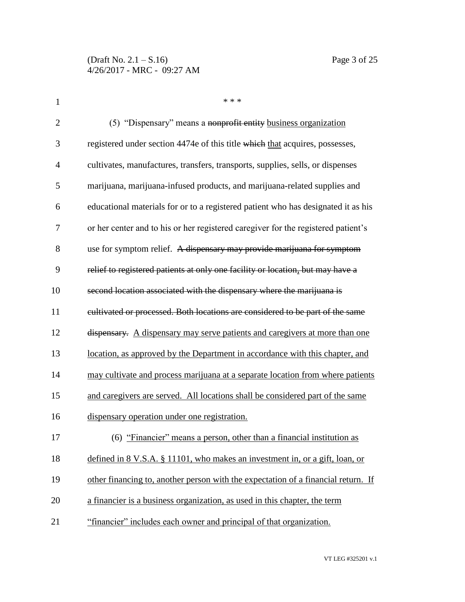| 1              | * * *                                                                             |
|----------------|-----------------------------------------------------------------------------------|
| $\overline{2}$ | (5) "Dispensary" means a nonprofit entity business organization                   |
| 3              | registered under section 4474e of this title which that acquires, possesses,      |
| $\overline{4}$ | cultivates, manufactures, transfers, transports, supplies, sells, or dispenses    |
| 5              | marijuana, marijuana-infused products, and marijuana-related supplies and         |
| 6              | educational materials for or to a registered patient who has designated it as his |
| 7              | or her center and to his or her registered caregiver for the registered patient's |
| 8              | use for symptom relief. A dispensary may provide marijuana for symptom            |
| 9              | relief to registered patients at only one facility or location, but may have a    |
| 10             | second location associated with the dispensary where the marijuana is             |
| 11             | cultivated or processed. Both locations are considered to be part of the same     |
| 12             | dispensary. A dispensary may serve patients and caregivers at more than one       |
| 13             | location, as approved by the Department in accordance with this chapter, and      |
| 14             | may cultivate and process marijuana at a separate location from where patients    |
| 15             | and caregivers are served. All locations shall be considered part of the same     |
| 16             | dispensary operation under one registration.                                      |
| 17             | (6) "Financier" means a person, other than a financial institution as             |
| 18             | defined in 8 V.S.A. § 11101, who makes an investment in, or a gift, loan, or      |
| 19             | other financing to, another person with the expectation of a financial return. If |
| 20             | a financier is a business organization, as used in this chapter, the term         |
| 21             | "financier" includes each owner and principal of that organization.               |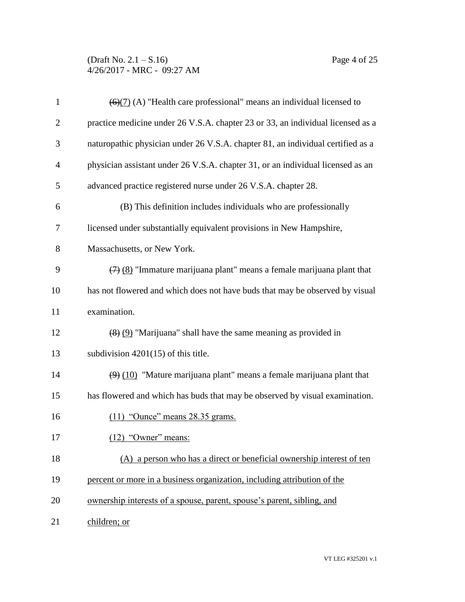(Draft No. 2.1 – S.16) Page 4 of 25 4/26/2017 - MRC - 09:27 AM

| $\mathbf{1}$   | $\left(\frac{6}{7}\right)$ (A) "Health care professional" means an individual licensed to     |
|----------------|-----------------------------------------------------------------------------------------------|
| $\overline{2}$ | practice medicine under 26 V.S.A. chapter 23 or 33, an individual licensed as a               |
| 3              | naturopathic physician under 26 V.S.A. chapter 81, an individual certified as a               |
| 4              | physician assistant under 26 V.S.A. chapter 31, or an individual licensed as an               |
| 5              | advanced practice registered nurse under 26 V.S.A. chapter 28.                                |
| 6              | (B) This definition includes individuals who are professionally                               |
| 7              | licensed under substantially equivalent provisions in New Hampshire,                          |
| 8              | Massachusetts, or New York.                                                                   |
| 9              | $\left(\frac{7}{2}\right)$ (8) "Immature marijuana plant" means a female marijuana plant that |
| 10             | has not flowered and which does not have buds that may be observed by visual                  |
| 11             | examination.                                                                                  |
| 12             | $(8)$ (9) "Marijuana" shall have the same meaning as provided in                              |
| 13             | subdivision $4201(15)$ of this title.                                                         |
| 14             | $(9)$ (10) "Mature marijuana plant" means a female marijuana plant that                       |
| 15             | has flowered and which has buds that may be observed by visual examination.                   |
| 16             | $(11)$ "Ounce" means 28.35 grams.                                                             |
| 17             | (12) "Owner" means:                                                                           |
| 18             | (A) a person who has a direct or beneficial ownership interest of ten                         |
| 19             | percent or more in a business organization, including attribution of the                      |
| 20             | ownership interests of a spouse, parent, spouse's parent, sibling, and                        |
| 21             | children; or                                                                                  |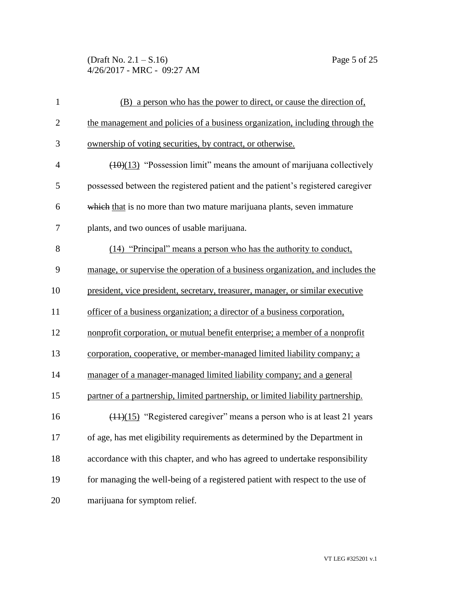(Draft No. 2.1 – S.16) Page 5 of 25 4/26/2017 - MRC - 09:27 AM

| $\mathbf{1}$   | (B) a person who has the power to direct, or cause the direction of,             |
|----------------|----------------------------------------------------------------------------------|
| $\overline{2}$ | the management and policies of a business organization, including through the    |
| 3              | ownership of voting securities, by contract, or otherwise.                       |
| $\overline{4}$ | $(10)(13)$ "Possession limit" means the amount of marijuana collectively         |
| 5              | possessed between the registered patient and the patient's registered caregiver  |
| 6              | which that is no more than two mature marijuana plants, seven immature           |
| 7              | plants, and two ounces of usable marijuana.                                      |
| 8              | (14) "Principal" means a person who has the authority to conduct,                |
| 9              | manage, or supervise the operation of a business organization, and includes the  |
| 10             | president, vice president, secretary, treasurer, manager, or similar executive   |
| 11             | officer of a business organization; a director of a business corporation,        |
| 12             | nonprofit corporation, or mutual benefit enterprise; a member of a nonprofit     |
| 13             | corporation, cooperative, or member-managed limited liability company; a         |
| 14             | manager of a manager-managed limited liability company; and a general            |
| 15             | partner of a partnership, limited partnership, or limited liability partnership. |
| 16             | $(11)(15)$ "Registered caregiver" means a person who is at least 21 years        |
| 17             | of age, has met eligibility requirements as determined by the Department in      |
| 18             | accordance with this chapter, and who has agreed to undertake responsibility     |
| 19             | for managing the well-being of a registered patient with respect to the use of   |
| 20             | marijuana for symptom relief.                                                    |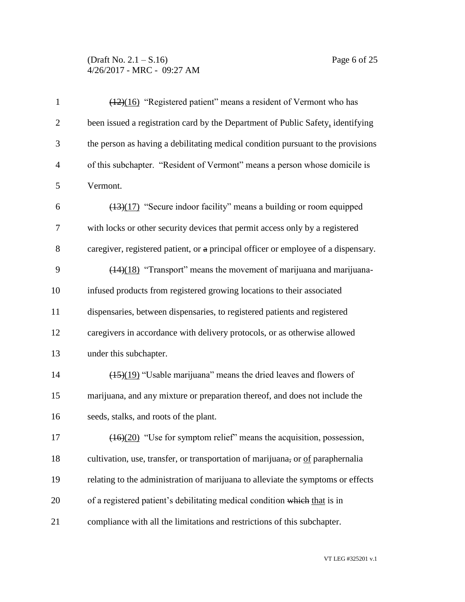(Draft No. 2.1 – S.16) Page 6 of 25 4/26/2017 - MRC - 09:27 AM

| $\mathbf{1}$   | (12)(16) "Registered patient" means a resident of Vermont who has                  |
|----------------|------------------------------------------------------------------------------------|
| $\overline{2}$ | been issued a registration card by the Department of Public Safety, identifying    |
| 3              | the person as having a debilitating medical condition pursuant to the provisions   |
| $\overline{4}$ | of this subchapter. "Resident of Vermont" means a person whose domicile is         |
| 5              | Vermont.                                                                           |
| 6              | (13)(17) "Secure indoor facility" means a building or room equipped                |
| 7              | with locks or other security devices that permit access only by a registered       |
| 8              | caregiver, registered patient, or a principal officer or employee of a dispensary. |
| 9              | $(14)(18)$ "Transport" means the movement of marijuana and marijuana-              |
| 10             | infused products from registered growing locations to their associated             |
| 11             | dispensaries, between dispensaries, to registered patients and registered          |
| 12             | caregivers in accordance with delivery protocols, or as otherwise allowed          |
| 13             | under this subchapter.                                                             |
| 14             | $\frac{(15)(19)}{2}$ "Usable marijuana" means the dried leaves and flowers of      |
| 15             | marijuana, and any mixture or preparation thereof, and does not include the        |
| 16             | seeds, stalks, and roots of the plant.                                             |
| 17             | $(16)(20)$ "Use for symptom relief" means the acquisition, possession,             |
| 18             | cultivation, use, transfer, or transportation of marijuana, or of paraphernalia    |
| 19             | relating to the administration of marijuana to alleviate the symptoms or effects   |
| 20             | of a registered patient's debilitating medical condition which that is in          |
| 21             | compliance with all the limitations and restrictions of this subchapter.           |

VT LEG #325201 v.1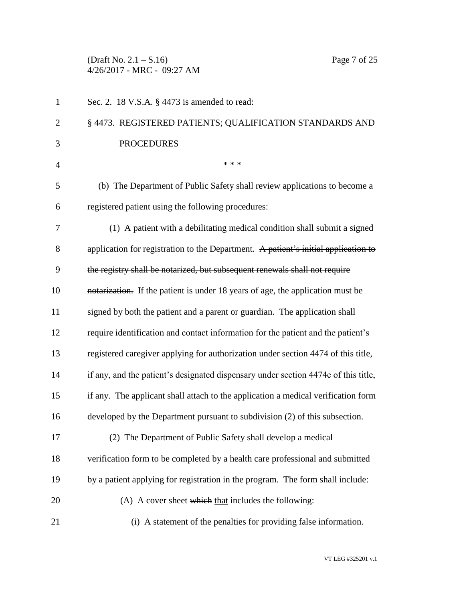(Draft No. 2.1 – S.16) Page 7 of 25 4/26/2017 - MRC - 09:27 AM

| $\mathbf{1}$   | Sec. 2. 18 V.S.A. § 4473 is amended to read:                                       |
|----------------|------------------------------------------------------------------------------------|
| $\overline{2}$ | § 4473. REGISTERED PATIENTS; QUALIFICATION STANDARDS AND                           |
| 3              | <b>PROCEDURES</b>                                                                  |
| $\overline{4}$ | * * *                                                                              |
| 5              | (b) The Department of Public Safety shall review applications to become a          |
| 6              | registered patient using the following procedures:                                 |
| 7              | (1) A patient with a debilitating medical condition shall submit a signed          |
| 8              | application for registration to the Department. A patient's initial application to |
| 9              | the registry shall be notarized, but subsequent renewals shall not require         |
| 10             | notarization. If the patient is under 18 years of age, the application must be     |
| 11             | signed by both the patient and a parent or guardian. The application shall         |
| 12             | require identification and contact information for the patient and the patient's   |
| 13             | registered caregiver applying for authorization under section 4474 of this title,  |
| 14             | if any, and the patient's designated dispensary under section 4474e of this title, |
| 15             | if any. The applicant shall attach to the application a medical verification form  |
| 16             | developed by the Department pursuant to subdivision (2) of this subsection.        |
| 17             | (2) The Department of Public Safety shall develop a medical                        |
| 18             | verification form to be completed by a health care professional and submitted      |
| 19             | by a patient applying for registration in the program. The form shall include:     |
| 20             | (A) A cover sheet which that includes the following:                               |
| 21             | (i) A statement of the penalties for providing false information.                  |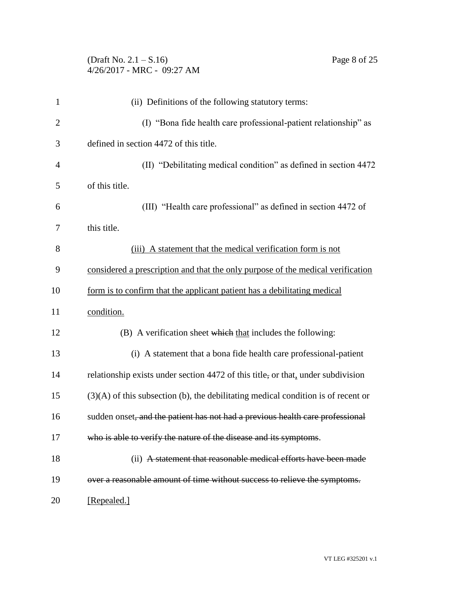# (Draft No. 2.1 – S.16) Page 8 of 25 4/26/2017 - MRC - 09:27 AM

| $\mathbf{1}$   | (ii) Definitions of the following statutory terms:                                  |
|----------------|-------------------------------------------------------------------------------------|
| $\overline{c}$ | (I) "Bona fide health care professional-patient relationship" as                    |
| 3              | defined in section 4472 of this title.                                              |
| 4              | (II) "Debilitating medical condition" as defined in section 4472                    |
| 5              | of this title.                                                                      |
| 6              | (III) "Health care professional" as defined in section 4472 of                      |
| 7              | this title.                                                                         |
| 8              | (iii) A statement that the medical verification form is not                         |
| 9              | considered a prescription and that the only purpose of the medical verification     |
| 10             | form is to confirm that the applicant patient has a debilitating medical            |
| 11             | condition.                                                                          |
| 12             | (B) A verification sheet which that includes the following:                         |
| 13             | (i) A statement that a bona fide health care professional-patient                   |
| 14             | relationship exists under section 4472 of this title, or that, under subdivision    |
| 15             | $(3)(A)$ of this subsection (b), the debilitating medical condition is of recent or |
| 16             | sudden onset, and the patient has not had a previous health care professional       |
| 17             | who is able to verify the nature of the disease and its symptoms.                   |
| 18             | (ii) A statement that reasonable medical efforts have been made                     |
| 19             | over a reasonable amount of time without success to relieve the symptoms.           |
| 20             | [Repealed.]                                                                         |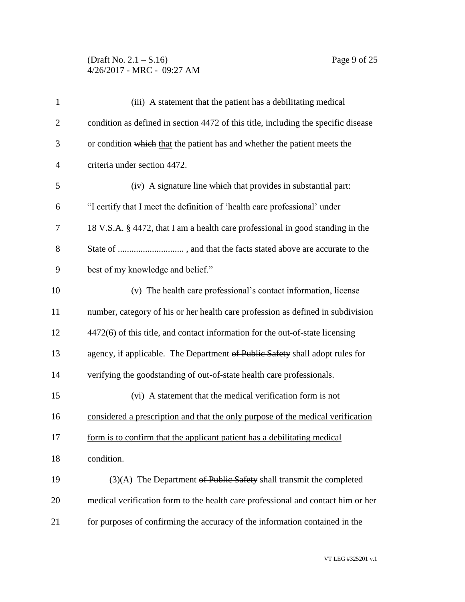# (Draft No. 2.1 – S.16) Page 9 of 25 4/26/2017 - MRC - 09:27 AM

| $\mathbf{1}$   | (iii) A statement that the patient has a debilitating medical                      |
|----------------|------------------------------------------------------------------------------------|
| $\overline{2}$ | condition as defined in section 4472 of this title, including the specific disease |
| 3              | or condition which that the patient has and whether the patient meets the          |
| $\overline{4}$ | criteria under section 4472.                                                       |
| 5              | (iv) A signature line which that provides in substantial part:                     |
| 6              | "I certify that I meet the definition of 'health care professional' under          |
| 7              | 18 V.S.A. § 4472, that I am a health care professional in good standing in the     |
| 8              |                                                                                    |
| 9              | best of my knowledge and belief."                                                  |
| 10             | (v) The health care professional's contact information, license                    |
| 11             | number, category of his or her health care profession as defined in subdivision    |
| 12             | 4472(6) of this title, and contact information for the out-of-state licensing      |
| 13             | agency, if applicable. The Department of Public Safety shall adopt rules for       |
| 14             | verifying the goodstanding of out-of-state health care professionals.              |
| 15             | (vi) A statement that the medical verification form is not                         |
| 16             | considered a prescription and that the only purpose of the medical verification    |
| 17             | form is to confirm that the applicant patient has a debilitating medical           |
| 18             | condition.                                                                         |
| 19             | $(3)(A)$ The Department of Public Safety shall transmit the completed              |
| 20             | medical verification form to the health care professional and contact him or her   |
| 21             | for purposes of confirming the accuracy of the information contained in the        |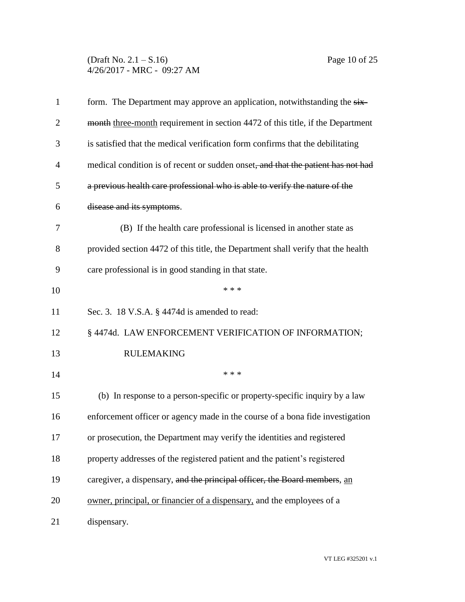(Draft No. 2.1 – S.16) Page 10 of 25 4/26/2017 - MRC - 09:27 AM

| $\mathbf{1}$   | form. The Department may approve an application, notwithstanding the six-        |
|----------------|----------------------------------------------------------------------------------|
| $\overline{2}$ | month three-month requirement in section 4472 of this title, if the Department   |
| 3              | is satisfied that the medical verification form confirms that the debilitating   |
| $\overline{4}$ | medical condition is of recent or sudden onset, and that the patient has not had |
| 5              | a previous health care professional who is able to verify the nature of the      |
| 6              | disease and its symptoms.                                                        |
| 7              | (B) If the health care professional is licensed in another state as              |
| 8              | provided section 4472 of this title, the Department shall verify that the health |
| 9              | care professional is in good standing in that state.                             |
| 10             | * * *                                                                            |
| 11             | Sec. 3. 18 V.S.A. § 4474d is amended to read:                                    |
| 12             | § 4474d. LAW ENFORCEMENT VERIFICATION OF INFORMATION;                            |
| 13             | <b>RULEMAKING</b>                                                                |
| 14             | * * *                                                                            |
| 15             | (b) In response to a person-specific or property-specific inquiry by a law       |
| 16             | enforcement officer or agency made in the course of a bona fide investigation    |
| 17             | or prosecution, the Department may verify the identities and registered          |
| 18             | property addresses of the registered patient and the patient's registered        |
| 19             | caregiver, a dispensary, and the principal officer, the Board members, an        |
| 20             | owner, principal, or financier of a dispensary, and the employees of a           |
| 21             | dispensary.                                                                      |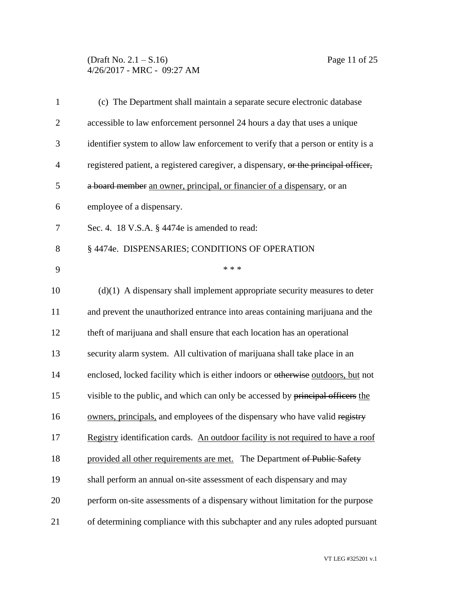(Draft No. 2.1 – S.16) Page 11 of 25 4/26/2017 - MRC - 09:27 AM

| $\mathbf{1}$   | (c) The Department shall maintain a separate secure electronic database             |
|----------------|-------------------------------------------------------------------------------------|
| $\overline{2}$ | accessible to law enforcement personnel 24 hours a day that uses a unique           |
| 3              | identifier system to allow law enforcement to verify that a person or entity is a   |
| $\overline{4}$ | registered patient, a registered caregiver, a dispensary, or the principal officer, |
| 5              | a board member an owner, principal, or financier of a dispensary, or an             |
| 6              | employee of a dispensary.                                                           |
| 7              | Sec. 4. 18 V.S.A. § 4474e is amended to read:                                       |
| 8              | § 4474e. DISPENSARIES; CONDITIONS OF OPERATION                                      |
| 9              | * * *                                                                               |
| 10             | $(d)(1)$ A dispensary shall implement appropriate security measures to deter        |
| 11             | and prevent the unauthorized entrance into areas containing marijuana and the       |
| 12             | theft of marijuana and shall ensure that each location has an operational           |
| 13             | security alarm system. All cultivation of marijuana shall take place in an          |
| 14             | enclosed, locked facility which is either indoors or otherwise outdoors, but not    |
| 15             | visible to the public, and which can only be accessed by principal officers the     |
| 16             | owners, principals, and employees of the dispensary who have valid registry         |
| 17             | Registry identification cards. An outdoor facility is not required to have a roof   |
| 18             | provided all other requirements are met. The Department of Public Safety            |
| 19             | shall perform an annual on-site assessment of each dispensary and may               |
| 20             | perform on-site assessments of a dispensary without limitation for the purpose      |
| 21             | of determining compliance with this subchapter and any rules adopted pursuant       |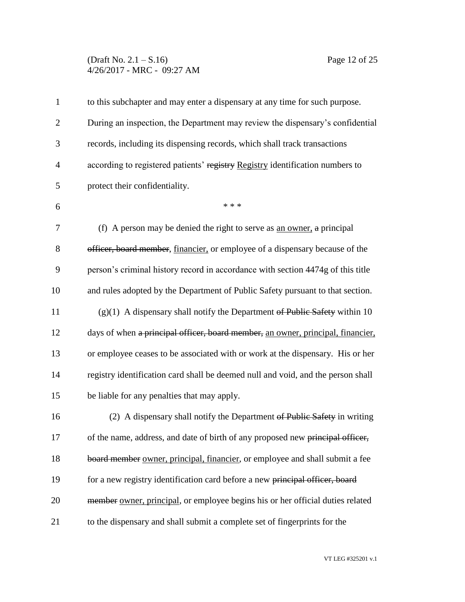#### (Draft No. 2.1 – S.16) Page 12 of 25 4/26/2017 - MRC - 09:27 AM

| 1            | to this subchapter and may enter a dispensary at any time for such purpose.      |
|--------------|----------------------------------------------------------------------------------|
| $\mathbf{2}$ | During an inspection, the Department may review the dispensary's confidential    |
| 3            | records, including its dispensing records, which shall track transactions        |
| 4            | according to registered patients' registry Registry identification numbers to    |
| 5            | protect their confidentiality.                                                   |
| 6            | * * *                                                                            |
| 7            | (f) A person may be denied the right to serve as an owner, a principal           |
| 8            | officer, board member, financier, or employee of a dispensary because of the     |
| 9            | person's criminal history record in accordance with section 4474g of this title  |
| 10           | and rules adopted by the Department of Public Safety pursuant to that section.   |
| 11           | $(g)(1)$ A dispensary shall notify the Department of Public Safety within 10     |
| 12           | days of when a principal officer, board member, an owner, principal, financier,  |
| 13           | or employee ceases to be associated with or work at the dispensary. His or her   |
| 14           | registry identification card shall be deemed null and void, and the person shall |
| 15           | be liable for any penalties that may apply.                                      |
| 16           | (2) A dispensary shall notify the Department of Public Safety in writing         |
| 17           | of the name, address, and date of birth of any proposed new principal officer,   |
| 18           | board member owner, principal, financier, or employee and shall submit a fee     |
| 19           | for a new registry identification card before a new principal officer, board     |
| 20           | member owner, principal, or employee begins his or her official duties related   |
| 21           | to the dispensary and shall submit a complete set of fingerprints for the        |

VT LEG #325201 v.1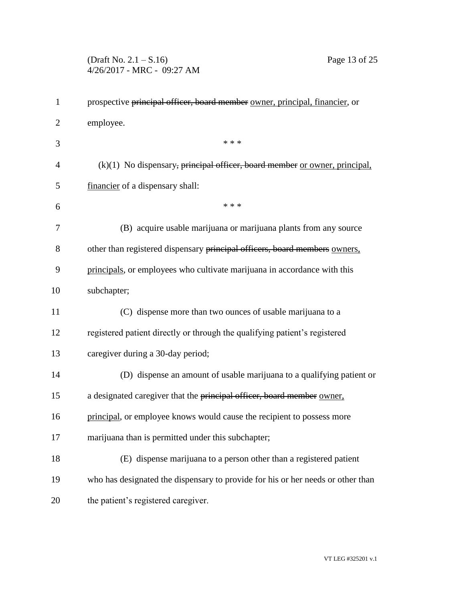(Draft No. 2.1 – S.16) Page 13 of 25 4/26/2017 - MRC - 09:27 AM

| $\mathbf{1}$   | prospective principal officer, board member owner, principal, financier, or     |
|----------------|---------------------------------------------------------------------------------|
| $\overline{2}$ | employee.                                                                       |
| 3              | * * *                                                                           |
| $\overline{4}$ | $(k)(1)$ No dispensary, principal officer, board member or owner, principal,    |
| 5              | financier of a dispensary shall:                                                |
| 6              | * * *                                                                           |
| 7              | (B) acquire usable marijuana or marijuana plants from any source                |
| 8              | other than registered dispensary principal officers, board members owners,      |
| 9              | principals, or employees who cultivate marijuana in accordance with this        |
| 10             | subchapter;                                                                     |
| 11             | (C) dispense more than two ounces of usable marijuana to a                      |
| 12             | registered patient directly or through the qualifying patient's registered      |
| 13             | caregiver during a 30-day period;                                               |
| 14             | (D) dispense an amount of usable marijuana to a qualifying patient or           |
| 15             | a designated caregiver that the principal officer, board member owner.          |
| 16             | principal, or employee knows would cause the recipient to possess more          |
| 17             | marijuana than is permitted under this subchapter;                              |
| 18             | (E) dispense marijuana to a person other than a registered patient              |
| 19             | who has designated the dispensary to provide for his or her needs or other than |
| 20             | the patient's registered caregiver.                                             |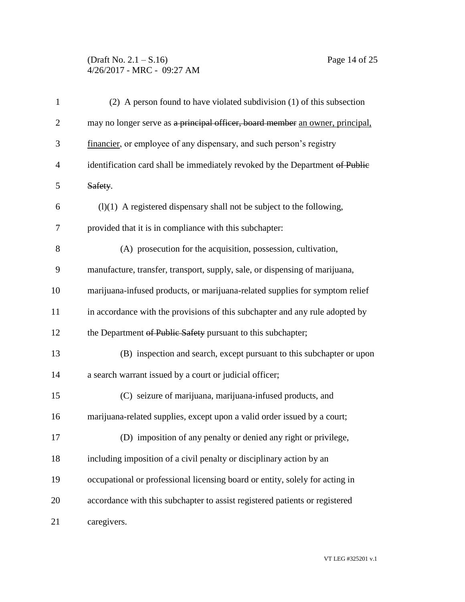# (Draft No. 2.1 – S.16) Page 14 of 25 4/26/2017 - MRC - 09:27 AM

| $\mathbf{1}$   | (2) A person found to have violated subdivision (1) of this subsection        |
|----------------|-------------------------------------------------------------------------------|
| $\overline{2}$ | may no longer serve as a principal officer, board member an owner, principal, |
| 3              | financier, or employee of any dispensary, and such person's registry          |
| $\overline{4}$ | identification card shall be immediately revoked by the Department of Public  |
| 5              | Safety.                                                                       |
| 6              | $(1)(1)$ A registered dispensary shall not be subject to the following,       |
| $\overline{7}$ | provided that it is in compliance with this subchapter:                       |
| 8              | (A) prosecution for the acquisition, possession, cultivation,                 |
| 9              | manufacture, transfer, transport, supply, sale, or dispensing of marijuana,   |
| 10             | marijuana-infused products, or marijuana-related supplies for symptom relief  |
| 11             | in accordance with the provisions of this subchapter and any rule adopted by  |
| 12             | the Department of Public Safety pursuant to this subchapter;                  |
| 13             | (B) inspection and search, except pursuant to this subchapter or upon         |
| 14             | a search warrant issued by a court or judicial officer;                       |
| 15             | (C) seizure of marijuana, marijuana-infused products, and                     |
| 16             | marijuana-related supplies, except upon a valid order issued by a court;      |
| 17             | (D) imposition of any penalty or denied any right or privilege,               |
| 18             | including imposition of a civil penalty or disciplinary action by an          |
| 19             | occupational or professional licensing board or entity, solely for acting in  |
| 20             | accordance with this subchapter to assist registered patients or registered   |
| 21             | caregivers.                                                                   |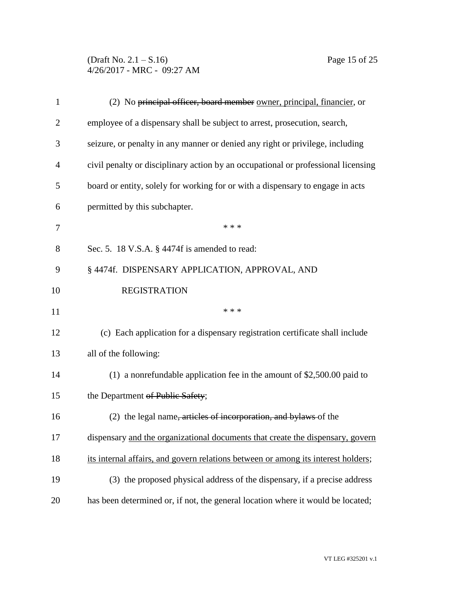(Draft No. 2.1 – S.16) Page 15 of 25 4/26/2017 - MRC - 09:27 AM

| $\mathbf{1}$   | (2) No principal officer, board member owner, principal, financier, or            |
|----------------|-----------------------------------------------------------------------------------|
| $\overline{2}$ | employee of a dispensary shall be subject to arrest, prosecution, search,         |
| 3              | seizure, or penalty in any manner or denied any right or privilege, including     |
| $\overline{4}$ | civil penalty or disciplinary action by an occupational or professional licensing |
| 5              | board or entity, solely for working for or with a dispensary to engage in acts    |
| 6              | permitted by this subchapter.                                                     |
| 7              | * * *                                                                             |
| 8              | Sec. 5. 18 V.S.A. § 4474f is amended to read:                                     |
| 9              | § 4474f. DISPENSARY APPLICATION, APPROVAL, AND                                    |
| 10             | <b>REGISTRATION</b>                                                               |
| 11             | * * *                                                                             |
| 12             | (c) Each application for a dispensary registration certificate shall include      |
| 13             | all of the following:                                                             |
| 14             | $(1)$ a nonrefundable application fee in the amount of \$2,500.00 paid to         |
| 15             | the Department of Public Safety;                                                  |
| 16             | (2) the legal name, articles of incorporation, and bylaws of the                  |
| 17             | dispensary and the organizational documents that create the dispensary, govern    |
| 18             | its internal affairs, and govern relations between or among its interest holders; |
| 19             |                                                                                   |
|                | (3) the proposed physical address of the dispensary, if a precise address         |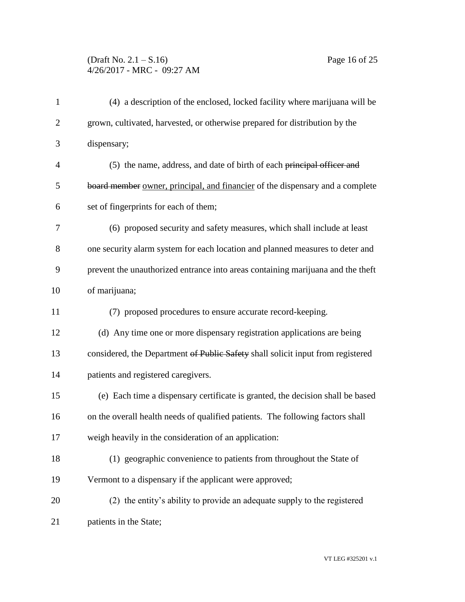# (Draft No. 2.1 – S.16) Page 16 of 25 4/26/2017 - MRC - 09:27 AM

| $\mathbf{1}$   | (4) a description of the enclosed, locked facility where marijuana will be      |
|----------------|---------------------------------------------------------------------------------|
| $\overline{2}$ | grown, cultivated, harvested, or otherwise prepared for distribution by the     |
| 3              | dispensary;                                                                     |
| 4              | (5) the name, address, and date of birth of each principal officer and          |
| 5              | board member owner, principal, and financier of the dispensary and a complete   |
| 6              | set of fingerprints for each of them;                                           |
| 7              | (6) proposed security and safety measures, which shall include at least         |
| 8              | one security alarm system for each location and planned measures to deter and   |
| 9              | prevent the unauthorized entrance into areas containing marijuana and the theft |
| 10             | of marijuana;                                                                   |
| 11             | (7) proposed procedures to ensure accurate record-keeping.                      |
| 12             | (d) Any time one or more dispensary registration applications are being         |
| 13             | considered, the Department of Public Safety shall solicit input from registered |
| 14             | patients and registered caregivers.                                             |
| 15             | (e) Each time a dispensary certificate is granted, the decision shall be based  |
| 16             | on the overall health needs of qualified patients. The following factors shall  |
| 17             | weigh heavily in the consideration of an application:                           |
| 18             | (1) geographic convenience to patients from throughout the State of             |
| 19             | Vermont to a dispensary if the applicant were approved;                         |
| 20             | (2) the entity's ability to provide an adequate supply to the registered        |
| 21             | patients in the State;                                                          |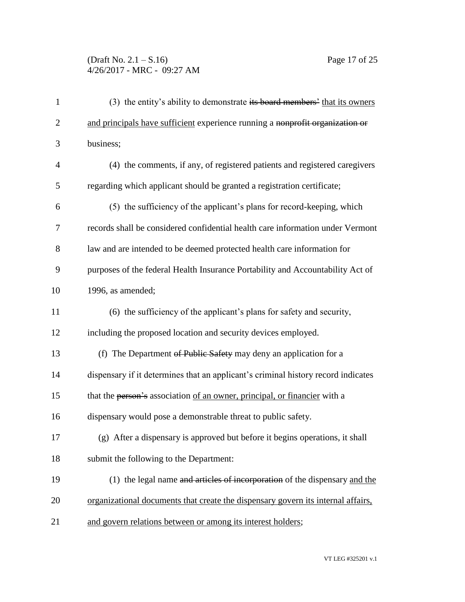# (Draft No. 2.1 – S.16) Page 17 of 25 4/26/2017 - MRC - 09:27 AM

| $\mathbf{1}$   | (3) the entity's ability to demonstrate its board members' that its owners        |
|----------------|-----------------------------------------------------------------------------------|
| $\overline{2}$ | and principals have sufficient experience running a nonprofit organization or     |
| 3              | business;                                                                         |
| $\overline{4}$ | (4) the comments, if any, of registered patients and registered caregivers        |
| 5              | regarding which applicant should be granted a registration certificate;           |
| 6              | (5) the sufficiency of the applicant's plans for record-keeping, which            |
| 7              | records shall be considered confidential health care information under Vermont    |
| 8              | law and are intended to be deemed protected health care information for           |
| 9              | purposes of the federal Health Insurance Portability and Accountability Act of    |
| 10             | 1996, as amended;                                                                 |
| 11             | (6) the sufficiency of the applicant's plans for safety and security,             |
| 12             | including the proposed location and security devices employed.                    |
| 13             | (f) The Department of Public Safety may deny an application for a                 |
| 14             | dispensary if it determines that an applicant's criminal history record indicates |
| 15             | that the person's association of an owner, principal, or financier with a         |
| 16             | dispensary would pose a demonstrable threat to public safety.                     |
| 17             | (g) After a dispensary is approved but before it begins operations, it shall      |
| 18             | submit the following to the Department:                                           |
| 19             | (1) the legal name and articles of incorporation of the dispensary and the        |
| 20             | organizational documents that create the dispensary govern its internal affairs,  |
| 21             | and govern relations between or among its interest holders;                       |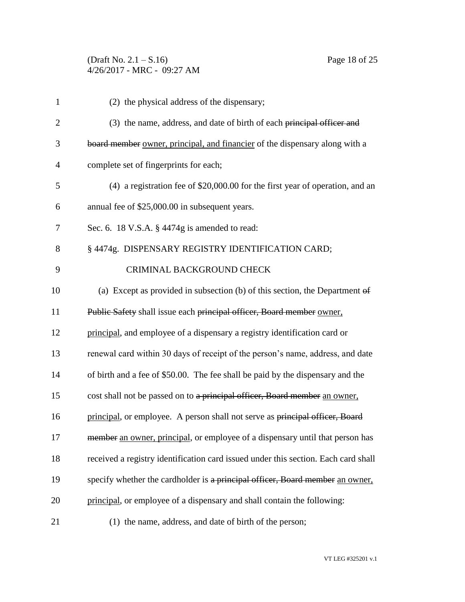(Draft No. 2.1 – S.16) Page 18 of 25 4/26/2017 - MRC - 09:27 AM

| $\mathbf{1}$   | (2) the physical address of the dispensary;                                         |
|----------------|-------------------------------------------------------------------------------------|
| $\overline{2}$ | (3) the name, address, and date of birth of each principal officer and              |
| 3              | board member owner, principal, and financier of the dispensary along with a         |
| 4              | complete set of fingerprints for each;                                              |
| 5              | $(4)$ a registration fee of \$20,000.00 for the first year of operation, and an     |
| 6              | annual fee of \$25,000.00 in subsequent years.                                      |
| 7              | Sec. 6. 18 V.S.A. § 4474g is amended to read:                                       |
| 8              | § 4474g. DISPENSARY REGISTRY IDENTIFICATION CARD;                                   |
| 9              | CRIMINAL BACKGROUND CHECK                                                           |
| 10             | (a) Except as provided in subsection (b) of this section, the Department $\theta$ f |
| 11             | Public Safety shall issue each principal officer, Board member owner,               |
| 12             | principal, and employee of a dispensary a registry identification card or           |
| 13             | renewal card within 30 days of receipt of the person's name, address, and date      |
| 14             | of birth and a fee of \$50.00. The fee shall be paid by the dispensary and the      |
| 15             | cost shall not be passed on to a principal officer, Board member an owner,          |
| 16             | principal, or employee. A person shall not serve as principal officer, Board        |
| 17             | member an owner, principal, or employee of a dispensary until that person has       |
| 18             | received a registry identification card issued under this section. Each card shall  |
| 19             | specify whether the cardholder is a principal officer, Board member an owner,       |
| 20             | principal, or employee of a dispensary and shall contain the following:             |
| 21             | (1) the name, address, and date of birth of the person;                             |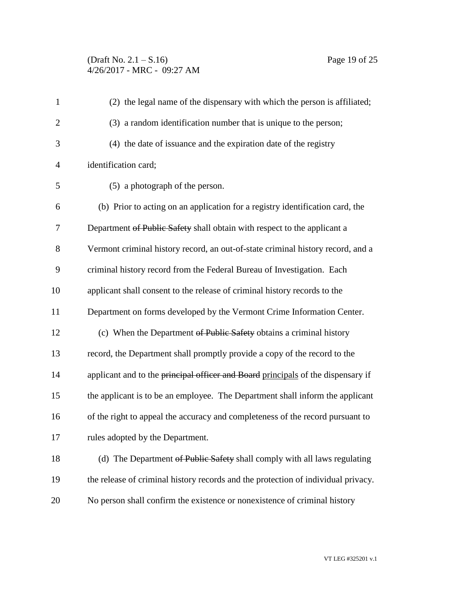| $\mathbf{1}$   | (2) the legal name of the dispensary with which the person is affiliated;         |
|----------------|-----------------------------------------------------------------------------------|
| $\overline{2}$ | (3) a random identification number that is unique to the person;                  |
| 3              | (4) the date of issuance and the expiration date of the registry                  |
| $\overline{4}$ | identification card;                                                              |
| 5              | (5) a photograph of the person.                                                   |
| 6              | (b) Prior to acting on an application for a registry identification card, the     |
| 7              | Department of Public Safety shall obtain with respect to the applicant a          |
| 8              | Vermont criminal history record, an out-of-state criminal history record, and a   |
| 9              | criminal history record from the Federal Bureau of Investigation. Each            |
| 10             | applicant shall consent to the release of criminal history records to the         |
| 11             | Department on forms developed by the Vermont Crime Information Center.            |
| 12             | (c) When the Department of Public Safety obtains a criminal history               |
| 13             | record, the Department shall promptly provide a copy of the record to the         |
| 14             | applicant and to the principal officer and Board principals of the dispensary if  |
| 15             | the applicant is to be an employee. The Department shall inform the applicant     |
| 16             | of the right to appeal the accuracy and completeness of the record pursuant to    |
| 17             | rules adopted by the Department.                                                  |
| 18             | (d) The Department of Public Safety shall comply with all laws regulating         |
| 19             | the release of criminal history records and the protection of individual privacy. |
| 20             | No person shall confirm the existence or nonexistence of criminal history         |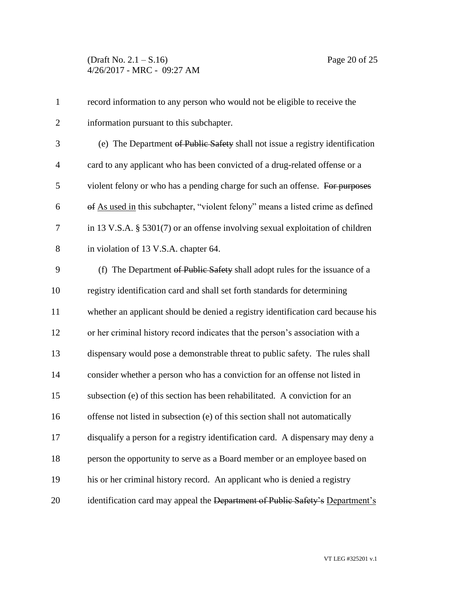| $\mathbf{1}$   | record information to any person who would not be eligible to receive the         |
|----------------|-----------------------------------------------------------------------------------|
| $\overline{2}$ | information pursuant to this subchapter.                                          |
| 3              | (e) The Department of Public Safety shall not issue a registry identification     |
| $\overline{4}$ | card to any applicant who has been convicted of a drug-related offense or a       |
| 5              | violent felony or who has a pending charge for such an offense. For purposes      |
| 6              | of As used in this subchapter, "violent felony" means a listed crime as defined   |
| 7              | in 13 V.S.A. $\S$ 5301(7) or an offense involving sexual exploitation of children |
| $8\,$          | in violation of 13 V.S.A. chapter 64.                                             |
| 9              | (f) The Department of Public Safety shall adopt rules for the issuance of a       |
| 10             | registry identification card and shall set forth standards for determining        |
| 11             | whether an applicant should be denied a registry identification card because his  |
| 12             | or her criminal history record indicates that the person's association with a     |
| 13             | dispensary would pose a demonstrable threat to public safety. The rules shall     |
| 14             | consider whether a person who has a conviction for an offense not listed in       |
| 15             | subsection (e) of this section has been rehabilitated. A conviction for an        |
| 16             | offense not listed in subsection (e) of this section shall not automatically      |
| 17             | disqualify a person for a registry identification card. A dispensary may deny a   |
| 18             | person the opportunity to serve as a Board member or an employee based on         |
| 19             | his or her criminal history record. An applicant who is denied a registry         |
| 20             | identification card may appeal the Department of Public Safety's Department's     |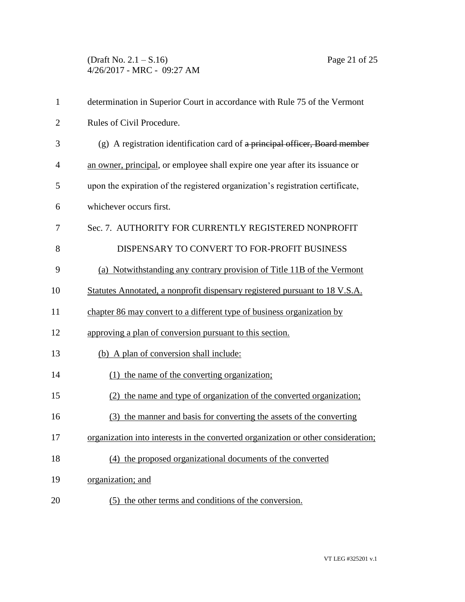(Draft No. 2.1 – S.16) Page 21 of 25 4/26/2017 - MRC - 09:27 AM

| $\mathbf{1}$   | determination in Superior Court in accordance with Rule 75 of the Vermont         |
|----------------|-----------------------------------------------------------------------------------|
| $\overline{2}$ | Rules of Civil Procedure.                                                         |
| 3              | $(g)$ A registration identification card of a principal officer, Board member     |
| 4              | an owner, principal, or employee shall expire one year after its issuance or      |
| 5              | upon the expiration of the registered organization's registration certificate,    |
| 6              | whichever occurs first.                                                           |
| 7              | Sec. 7. AUTHORITY FOR CURRENTLY REGISTERED NONPROFIT                              |
| 8              | DISPENSARY TO CONVERT TO FOR-PROFIT BUSINESS                                      |
| 9              | (a) Notwithstanding any contrary provision of Title 11B of the Vermont            |
| 10             | Statutes Annotated, a nonprofit dispensary registered pursuant to 18 V.S.A.       |
| 11             | chapter 86 may convert to a different type of business organization by            |
| 12             | approving a plan of conversion pursuant to this section.                          |
| 13             | (b) A plan of conversion shall include:                                           |
| 14             | (1) the name of the converting organization;                                      |
| 15             | (2) the name and type of organization of the converted organization;              |
| 16             | (3) the manner and basis for converting the assets of the converting              |
| 17             | organization into interests in the converted organization or other consideration; |
| 18             | (4) the proposed organizational documents of the converted                        |
| 19             | organization; and                                                                 |
| 20             | (5) the other terms and conditions of the conversion.                             |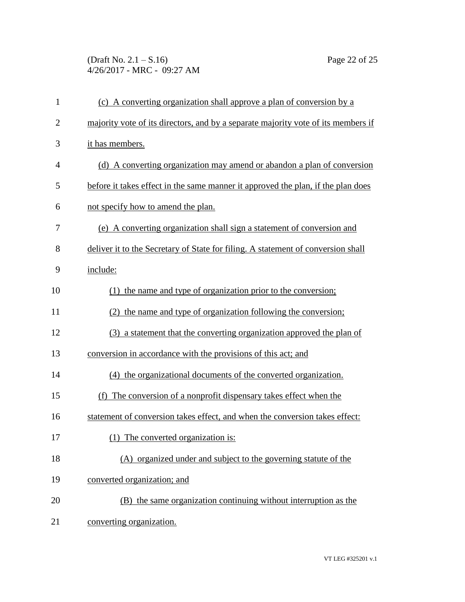(Draft No. 2.1 – S.16) Page 22 of 25 4/26/2017 - MRC - 09:27 AM

| $\mathbf{1}$   | (c) A converting organization shall approve a plan of conversion by a             |
|----------------|-----------------------------------------------------------------------------------|
| $\overline{2}$ | majority vote of its directors, and by a separate majority vote of its members if |
| 3              | it has members.                                                                   |
| 4              | (d) A converting organization may amend or abandon a plan of conversion           |
| 5              | before it takes effect in the same manner it approved the plan, if the plan does  |
| 6              | not specify how to amend the plan.                                                |
| 7              | (e) A converting organization shall sign a statement of conversion and            |
| 8              | deliver it to the Secretary of State for filing. A statement of conversion shall  |
| 9              | include:                                                                          |
| 10             | (1) the name and type of organization prior to the conversion;                    |
| 11             | (2) the name and type of organization following the conversion;                   |
| 12             | (3) a statement that the converting organization approved the plan of             |
| 13             | conversion in accordance with the provisions of this act; and                     |
| 14             | (4) the organizational documents of the converted organization.                   |
| 15             | (f) The conversion of a nonprofit dispensary takes effect when the                |
| 16             | statement of conversion takes effect, and when the conversion takes effect:       |
| 17             | (1) The converted organization is:                                                |
| 18             | (A) organized under and subject to the governing statute of the                   |
| 19             | converted organization; and                                                       |
| 20             | (B) the same organization continuing without interruption as the                  |
| 21             | converting organization.                                                          |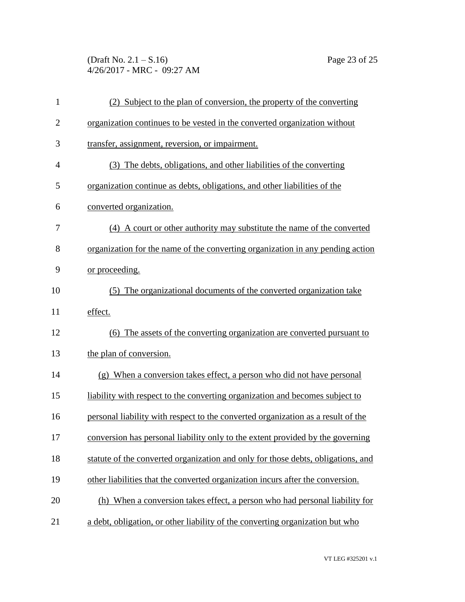(Draft No. 2.1 – S.16) Page 23 of 25 4/26/2017 - MRC - 09:27 AM

| $\mathbf{1}$   | (2) Subject to the plan of conversion, the property of the converting            |
|----------------|----------------------------------------------------------------------------------|
| $\overline{2}$ | organization continues to be vested in the converted organization without        |
| 3              | transfer, assignment, reversion, or impairment.                                  |
| 4              | (3) The debts, obligations, and other liabilities of the converting              |
| 5              | organization continue as debts, obligations, and other liabilities of the        |
| 6              | converted organization.                                                          |
| 7              | (4) A court or other authority may substitute the name of the converted          |
| 8              | organization for the name of the converting organization in any pending action   |
| 9              | or proceeding.                                                                   |
| 10             | (5) The organizational documents of the converted organization take              |
| 11             | effect.                                                                          |
| 12             | (6) The assets of the converting organization are converted pursuant to          |
| 13             | the plan of conversion.                                                          |
| 14             | (g) When a conversion takes effect, a person who did not have personal           |
| 15             | liability with respect to the converting organization and becomes subject to     |
| 16             | personal liability with respect to the converted organization as a result of the |
| 17             | conversion has personal liability only to the extent provided by the governing   |
| 18             | statute of the converted organization and only for those debts, obligations, and |
| 19             | other liabilities that the converted organization incurs after the conversion.   |
| 20             | (h) When a conversion takes effect, a person who had personal liability for      |
| 21             | a debt, obligation, or other liability of the converting organization but who    |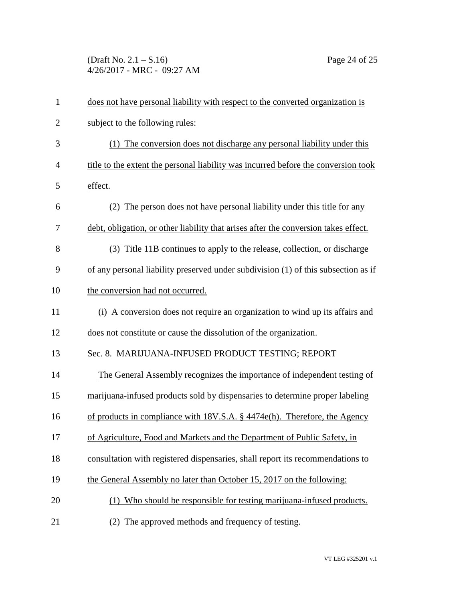(Draft No. 2.1 – S.16) Page 24 of 25 4/26/2017 - MRC - 09:27 AM

| $\mathbf{1}$   | does not have personal liability with respect to the converted organization is      |
|----------------|-------------------------------------------------------------------------------------|
| $\overline{2}$ | subject to the following rules:                                                     |
| 3              | (1) The conversion does not discharge any personal liability under this             |
| 4              | title to the extent the personal liability was incurred before the conversion took  |
| 5              | effect.                                                                             |
| 6              | The person does not have personal liability under this title for any<br>(2)         |
| 7              | debt, obligation, or other liability that arises after the conversion takes effect. |
| 8              | (3) Title 11B continues to apply to the release, collection, or discharge           |
| 9              | of any personal liability preserved under subdivision (1) of this subsection as if  |
| 10             | the conversion had not occurred.                                                    |
| 11             | (i) A conversion does not require an organization to wind up its affairs and        |
| 12             | does not constitute or cause the dissolution of the organization.                   |
| 13             | Sec. 8. MARIJUANA-INFUSED PRODUCT TESTING; REPORT                                   |
| 14             | The General Assembly recognizes the importance of independent testing of            |
| 15             | marijuana-infused products sold by dispensaries to determine proper labeling        |
| 16             | of products in compliance with 18V.S.A. § 4474e(h). Therefore, the Agency           |
| 17             | of Agriculture, Food and Markets and the Department of Public Safety, in            |
| 18             | consultation with registered dispensaries, shall report its recommendations to      |
| 19             | the General Assembly no later than October 15, 2017 on the following:               |
| 20             | Who should be responsible for testing marijuana-infused products.                   |
| 21             | The approved methods and frequency of testing.<br>(2)                               |